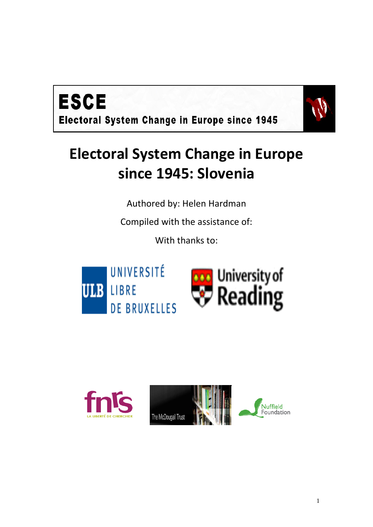

# **Electoral System Change in Europe since 1945: Slovenia**

Authored by: Helen Hardman

Compiled with the assistance of:

With thanks to:



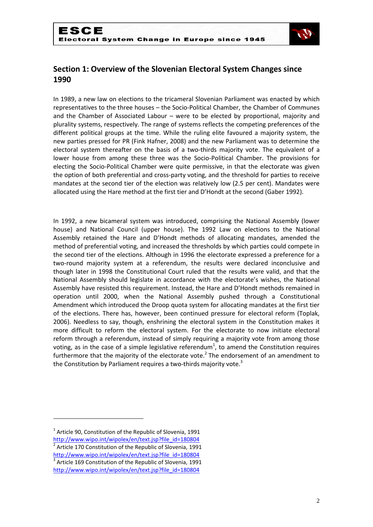

## **Section 1: Overview of the Slovenian Electoral System Changes since 1990**

In 1989, a new law on elections to the tricameral Slovenian Parliament was enacted by which representatives to the three houses – the Socio-Political Chamber, the Chamber of Communes and the Chamber of Associated Labour – were to be elected by proportional, majority and plurality systems, respectively. The range of systems reflects the competing preferences of the different political groups at the time. While the ruling elite favoured a majority system, the new parties pressed for PR (Fink Hafner, 2008) and the new Parliament was to determine the electoral system thereafter on the basis of a two-thirds majority vote. The equivalent of a lower house from among these three was the Socio-Political Chamber. The provisions for electing the Socio-Political Chamber were quite permissive, in that the electorate was given the option of both preferential and cross-party voting, and the threshold for parties to receive mandates at the second tier of the election was relatively low (2.5 per cent). Mandates were allocated using the Hare method at the first tier and D'Hondt at the second (Gaber 1992).

In 1992, a new bicameral system was introduced, comprising the National Assembly (lower house) and National Council (upper house). The 1992 Law on elections to the National Assembly retained the Hare and D'Hondt methods of allocating mandates, amended the method of preferential voting, and increased the thresholds by which parties could compete in the second tier of the elections. Although in 1996 the electorate expressed a preference for a two-round majority system at a referendum, the results were declared inconclusive and though later in 1998 the Constitutional Court ruled that the results were valid, and that the National Assembly should legislate in accordance with the electorate's wishes, the National Assembly have resisted this requirement. Instead, the Hare and D'Hondt methods remained in operation until 2000, when the National Assembly pushed through a Constitutional Amendment which introduced the Droop quota system for allocating mandates at the first tier of the elections. There has, however, been continued pressure for electoral reform (Toplak, 2006). Needless to say, though, enshrining the electoral system in the Constitution makes it more difficult to reform the electoral system. For the electorate to now initiate electoral reform through a referendum, instead of simply requiring a majority vote from among those voting, as in the case of a simple legislative referendum<sup>1</sup>, to amend the Constitution requires furthermore that the majority of the electorate vote.<sup>2</sup> The endorsement of an amendment to the Constitution by Parliament requires a two-thirds majority vote.<sup>3</sup>

 $1$  Article 90, Constitution of the Republic of Slovenia, 1991

http://www.wipo.int/wipolex/en/text.jsp?file\_id=180804<br>2 Article 170 Constitution of the Benublic of Slovenia, 1991 Article 170 Constitution of the Republic of Slovenia, 1991

[http://www.wipo.int/wipolex/en/text.jsp?file\\_id=180804](http://www.wipo.int/wipolex/en/text.jsp?file_id=180804) 

<sup>&</sup>lt;sup>3</sup> Article 169 Constitution of the Republic of Slovenia, 1991

[http://www.wipo.int/wipolex/en/text.jsp?file\\_id=180804](http://www.wipo.int/wipolex/en/text.jsp?file_id=180804)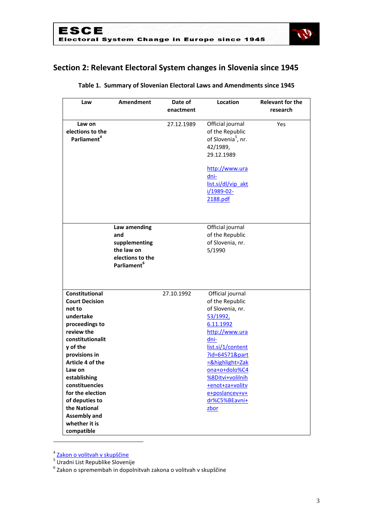

# **Section 2: Relevant Electoral System changes in Slovenia since 1945**

| Law                     | Amendment               | Date of<br>enactment | Location                       | <b>Relevant for the</b><br>research |
|-------------------------|-------------------------|----------------------|--------------------------------|-------------------------------------|
|                         |                         |                      |                                |                                     |
| Law on                  |                         | 27.12.1989           | Official journal               | Yes                                 |
| elections to the        |                         |                      | of the Republic                |                                     |
| Parliament <sup>4</sup> |                         |                      | of Slovenia <sup>5</sup> , nr. |                                     |
|                         |                         |                      | 42/1989,                       |                                     |
|                         |                         |                      | 29.12.1989                     |                                     |
|                         |                         |                      | http://www.ura                 |                                     |
|                         |                         |                      | dni-                           |                                     |
|                         |                         |                      | list.si/dl/vip_akt             |                                     |
|                         |                         |                      | i/1989-02-                     |                                     |
|                         |                         |                      | 2188.pdf                       |                                     |
|                         |                         |                      |                                |                                     |
|                         |                         |                      |                                |                                     |
|                         | Law amending            |                      | Official journal               |                                     |
|                         | and                     |                      | of the Republic                |                                     |
|                         | supplementing           |                      | of Slovenia, nr.               |                                     |
|                         | the law on              |                      | 5/1990                         |                                     |
|                         | elections to the        |                      |                                |                                     |
|                         | Parliament <sup>6</sup> |                      |                                |                                     |
|                         |                         |                      |                                |                                     |
|                         |                         |                      |                                |                                     |
| Constitutional          |                         | 27.10.1992           | Official journal               |                                     |
| <b>Court Decision</b>   |                         |                      | of the Republic                |                                     |
| not to                  |                         |                      | of Slovenia, nr.               |                                     |
| undertake               |                         |                      | 53/1992,                       |                                     |
| proceedings to          |                         |                      | 6.11.1992                      |                                     |
| review the              |                         |                      | http://www.ura                 |                                     |
| constitutionalit        |                         |                      | dni-                           |                                     |
| y of the                |                         |                      | list.si/1/content              |                                     |
| provisions in           |                         |                      | ?id=64571∂                     |                                     |
| Article 4 of the        |                         |                      | =&highlight=Zak                |                                     |
| Law on                  |                         |                      | ona+o+dolo%C4                  |                                     |
| establishing            |                         |                      | <b>%8Ditvi+volilnih</b>        |                                     |
| constituencies          |                         |                      | +enot+za+volity                |                                     |
| for the election        |                         |                      | e+poslancev+v+                 |                                     |
| of deputies to          |                         |                      | dr%C5%BEavni+                  |                                     |
| the National            |                         |                      | zbor                           |                                     |
| <b>Assembly and</b>     |                         |                      |                                |                                     |
| whether it is           |                         |                      |                                |                                     |
| compatible              |                         |                      |                                |                                     |

#### **Table 1. Summary of Slovenian Electoral Laws and Amendments since 1945**

<sup>&</sup>lt;sup>4</sup> <u>[Zakon o volitvah v skupščine](http://zakonodaja.gov.si/rpsi/r09/predpis_ZAKO2989.html)</u><br><sup>5</sup> Uradni List Republike Slovenije<br><sup>6</sup> Zakon o spremembah in dopolnitvah zakona o volitvah v skupščine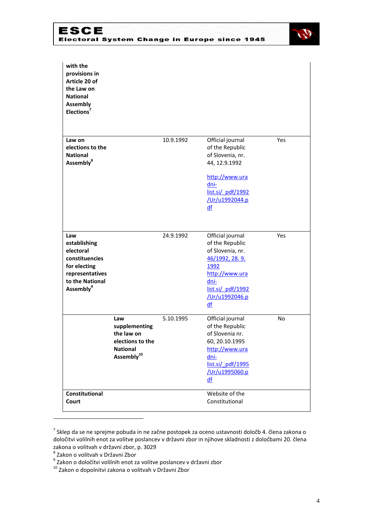

| with the<br>provisions in<br>Article 20 of<br>the Law on<br><b>National</b><br><b>Assembly</b><br>Elections <sup>7</sup>          |                                                                                                     |           |                                                                                                                                                          |     |
|-----------------------------------------------------------------------------------------------------------------------------------|-----------------------------------------------------------------------------------------------------|-----------|----------------------------------------------------------------------------------------------------------------------------------------------------------|-----|
| Law on<br>elections to the<br><b>National</b><br>Assembly <sup>8</sup>                                                            |                                                                                                     | 10.9.1992 | Official journal<br>of the Republic<br>of Slovenia, nr.<br>44, 12.9.1992<br>http://www.ura<br>dni-<br>list.si/ pdf/1992<br>/Ur/u1992044.p<br>df          | Yes |
| Law<br>establishing<br>electoral<br>constituencies<br>for electing<br>representatives<br>to the National<br>Assembly <sup>9</sup> |                                                                                                     | 24.9.1992 | Official journal<br>of the Republic<br>of Slovenia, nr.<br>46/1992, 28.9.<br>1992<br>http://www.ura<br>dni-<br>list.si/ pdf/1992<br>/Ur/u1992046.p<br>df | Yes |
|                                                                                                                                   | Law<br>supplementing<br>the law on<br>elections to the<br><b>National</b><br>Assembly <sup>10</sup> | 5.10.1995 | Official journal<br>of the Republic<br>of Slovenia nr.<br>60, 20.10.1995<br>http://www.ura<br>dni-<br>list.si/ pdf/1995<br>/Ur/u1995060.p<br>df          | No  |
| Constitutional<br>Court                                                                                                           |                                                                                                     |           | Website of the<br>Constitutional                                                                                                                         |     |

 $^7$  Sklep da se ne sprejme pobuda in ne začne postopek za oceno ustavnosti določb 4. člena zakona o določitvi volilnih enot za volitve poslancev v državni zbor in njihove skladnosti z določbami 20. člena zakona o volitvah v državni zbor, p. 3029

<sup>8</sup> Zakon o volitvah v Državni Zbor

<sup>&</sup>lt;sup>9</sup> Zakon o določitvi volilnih enot za volitve poslancev v državni zbor

<sup>&</sup>lt;sup>10</sup> Zakon o dopolnitvi zakona o volitvah v Državni Zbor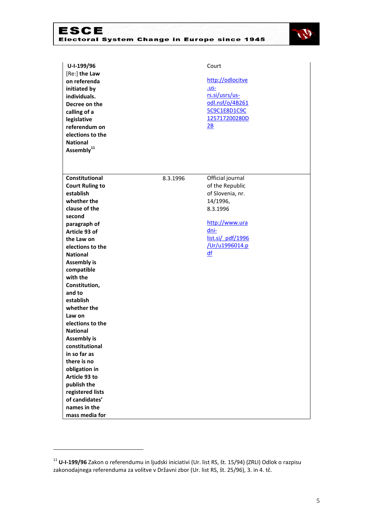

| U-I-199/96<br>Court<br>[Re:] the Law<br>http://odlocitve<br>on referenda<br><u>.us-</u><br>initiated by<br>rs.si/usrs/us-<br>individuals.<br>odl.nsf/o/4B261<br>Decree on the<br>5C9C1E8D1C9C<br>calling of a<br>125717200280D<br>legislative<br>$\underline{\mathsf{2B}}$<br>referendum on<br>elections to the<br><b>National</b><br>Assembly <sup>11</sup> |  |
|--------------------------------------------------------------------------------------------------------------------------------------------------------------------------------------------------------------------------------------------------------------------------------------------------------------------------------------------------------------|--|
| <b>Constitutional</b><br>8.3.1996<br>Official journal<br>of the Republic<br><b>Court Ruling to</b>                                                                                                                                                                                                                                                           |  |
| establish<br>of Slovenia, nr.                                                                                                                                                                                                                                                                                                                                |  |
| whether the<br>14/1996,                                                                                                                                                                                                                                                                                                                                      |  |
| clause of the<br>8.3.1996                                                                                                                                                                                                                                                                                                                                    |  |
| second<br>http://www.ura                                                                                                                                                                                                                                                                                                                                     |  |
| paragraph of<br>dni-<br>Article 93 of                                                                                                                                                                                                                                                                                                                        |  |
| list.si/ pdf/1996<br>the Law on                                                                                                                                                                                                                                                                                                                              |  |
| /Ur/u1996014.p<br>elections to the                                                                                                                                                                                                                                                                                                                           |  |
| df<br><b>National</b>                                                                                                                                                                                                                                                                                                                                        |  |
| <b>Assembly is</b>                                                                                                                                                                                                                                                                                                                                           |  |
| compatible                                                                                                                                                                                                                                                                                                                                                   |  |
| with the                                                                                                                                                                                                                                                                                                                                                     |  |
| Constitution,                                                                                                                                                                                                                                                                                                                                                |  |
| and to                                                                                                                                                                                                                                                                                                                                                       |  |
| establish                                                                                                                                                                                                                                                                                                                                                    |  |
| whether the                                                                                                                                                                                                                                                                                                                                                  |  |
| Law on<br>elections to the                                                                                                                                                                                                                                                                                                                                   |  |
| <b>National</b>                                                                                                                                                                                                                                                                                                                                              |  |
| <b>Assembly is</b>                                                                                                                                                                                                                                                                                                                                           |  |
| constitutional                                                                                                                                                                                                                                                                                                                                               |  |
| in so far as                                                                                                                                                                                                                                                                                                                                                 |  |
| there is no                                                                                                                                                                                                                                                                                                                                                  |  |
| obligation in                                                                                                                                                                                                                                                                                                                                                |  |
| Article 93 to                                                                                                                                                                                                                                                                                                                                                |  |
| publish the                                                                                                                                                                                                                                                                                                                                                  |  |
| registered lists                                                                                                                                                                                                                                                                                                                                             |  |
| of candidates'<br>names in the                                                                                                                                                                                                                                                                                                                               |  |
| mass media for                                                                                                                                                                                                                                                                                                                                               |  |

1

<sup>11</sup> **U-I-199/96** Zakon o referendumu in ljudski iniciativi (Ur. list RS, št. 15/94) (ZRLI) Odlok o razpisu zakonodajnega referenduma za volitve v Državni zbor (Ur. list RS, št. 25/96), 3. in 4. tč.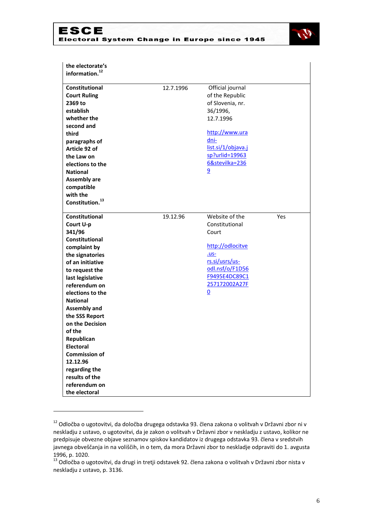



| the electorate's<br>information. <sup>12</sup> |           |                        |     |
|------------------------------------------------|-----------|------------------------|-----|
| <b>Constitutional</b>                          | 12.7.1996 | Official journal       |     |
| <b>Court Ruling</b>                            |           | of the Republic        |     |
| 2369 to                                        |           | of Slovenia, nr.       |     |
| establish                                      |           | 36/1996,               |     |
| whether the                                    |           | 12.7.1996              |     |
| second and                                     |           |                        |     |
| third                                          |           | http://www.ura<br>dni- |     |
| paragraphs of                                  |           | list.si/1/objava.j     |     |
| Article 92 of                                  |           | sp?urlid=19963         |     |
| the Law on                                     |           | 6&stevilka=236         |     |
| elections to the                               |           |                        |     |
| <b>National</b>                                |           | $\overline{9}$         |     |
| <b>Assembly are</b>                            |           |                        |     |
| compatible<br>with the                         |           |                        |     |
| Constitution. <sup>13</sup>                    |           |                        |     |
|                                                |           |                        |     |
| <b>Constitutional</b>                          | 19.12.96  | Website of the         | Yes |
| Court U-p                                      |           | Constitutional         |     |
| 341/96                                         |           | Court                  |     |
| Constitutional                                 |           |                        |     |
| complaint by                                   |           | http://odlocitve       |     |
| the signatories                                |           | $. us-$                |     |
| of an initiative                               |           | rs.si/usrs/us-         |     |
| to request the                                 |           | odl.nsf/o/F1D56        |     |
| last legislative                               |           | F9495E4DC89C1          |     |
| referendum on                                  |           | 257172002A27F          |     |
| elections to the                               |           | $\underline{0}$        |     |
| <b>National</b>                                |           |                        |     |
| <b>Assembly and</b>                            |           |                        |     |
| the SSS Report                                 |           |                        |     |
| on the Decision                                |           |                        |     |
| of the                                         |           |                        |     |
| Republican                                     |           |                        |     |
| <b>Electoral</b>                               |           |                        |     |
| <b>Commission of</b>                           |           |                        |     |
| 12.12.96                                       |           |                        |     |
| regarding the                                  |           |                        |     |
| results of the                                 |           |                        |     |
| referendum on                                  |           |                        |     |
| the electoral                                  |           |                        |     |

<sup>&</sup>lt;sup>12</sup> Odločba o ugotovitvi, da določba drugega odstavka 93. člena zakona o volitvah v Državni zbor ni v neskladju z ustavo, o ugotovitvi, da je zakon o volitvah v Državni zbor v neskladju z ustavo, kolikor ne predpisuje obvezne objave seznamov spiskov kandidatov iz drugega odstavka 93. člena v sredstvih javnega obveščanja in na voliščih, in o tem, da mora Državni zbor to neskladje odpraviti do 1. avgusta 1996, p. 1020.

<sup>13</sup> Odločba o ugotovitvi, da drugi in tretji odstavek 92. člena zakona o volitvah v Državni zbor nista v neskladju z ustavo, p. 3136.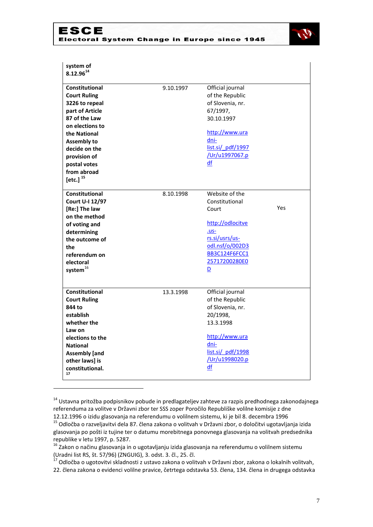

| system of<br>$8.12.96^{14}$                                                                                                                                                                                                                   |           |                                                                                                                                                                                   |     |
|-----------------------------------------------------------------------------------------------------------------------------------------------------------------------------------------------------------------------------------------------|-----------|-----------------------------------------------------------------------------------------------------------------------------------------------------------------------------------|-----|
| <b>Constitutional</b><br><b>Court Ruling</b><br>3226 to repeal<br>part of Article<br>87 of the Law<br>on elections to<br>the National<br><b>Assembly to</b><br>decide on the<br>provision of<br>postal votes<br>from abroad<br>[etc.] $^{15}$ | 9.10.1997 | Official journal<br>of the Republic<br>of Slovenia, nr.<br>67/1997,<br>30.10.1997<br>http://www.ura<br>dni-<br>list.si/ pdf/1997<br>/Ur/u1997067.p<br>df                          |     |
| <b>Constitutional</b><br>Court U-I 12/97<br>[Re:] The law<br>on the method<br>of voting and<br>determining<br>the outcome of<br>the<br>referendum on<br>electoral<br>system <sup>16</sup>                                                     | 8.10.1998 | Website of the<br>Constitutional<br>Court<br>http://odlocitve<br>$. us-$<br>rs.si/usrs/us-<br>odl.nsf/o/002D3<br><b>BB3C124F6FCC1</b><br>25717200280E0<br>$\overline{\mathsf{D}}$ | Yes |
| <b>Constitutional</b><br><b>Court Ruling</b><br>844 to<br>establish<br>whether the<br>Law on<br>elections to the<br><b>National</b><br><b>Assembly</b> [and<br>other laws] is<br>constitutional.<br>17                                        | 13.3.1998 | Official journal<br>of the Republic<br>of Slovenia, nr.<br>20/1998,<br>13.3.1998<br>http://www.ura<br>dni-<br>list.si/ pdf/1998<br>/Ur/u1998020.p<br>df                           |     |

<sup>&</sup>lt;sup>14</sup> Ustavna pritožba podpisnikov pobude in predlagateljev zahteve za razpis predhodnega zakonodajnega referenduma za volitve v Državni zbor ter SSS zoper Poročilo Republiške volilne komisije z dne 12.12.1996 o izidu glasovanja na referendumu o volilnem sistemu, ki je bil 8. decembra 1996

1

<sup>15</sup> Odločba o razveljavitvi dela 87. člena zakona o volitvah v Državni zbor, o določitvi ugotavljanja izida glasovanja po pošti iz tujine ter o datumu morebitnega ponovnega glasovanja na volitvah predsednika republike v letu 1997, p. 5287.

<sup>&</sup>lt;sup>16</sup> Zakon o načinu glasovanja in o ugotavljanju izida glasovanja na referendumu o volilnem sistemu (Uradni list RS, št. 57/96) (ZNGUIG), 3. odst. 3. čl., 25. čl.

<sup>&</sup>lt;sup>17</sup> Odločba o ugotovitvi skladnosti z ustavo zakona o volitvah v Državni zbor, zakona o lokalnih volitvah, 22. člena zakona o evidenci volilne pravice, četrtega odstavka 53. člena, 134. člena in drugega odstavka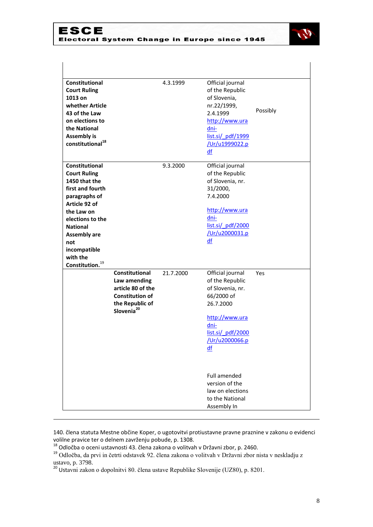

| Constitutional<br><b>Court Ruling</b><br>1013 on<br>whether Article<br>43 of the Law<br>on elections to<br>the National<br><b>Assembly is</b><br>constitutional <sup>18</sup>                                                                              |                                                                                                                            | 4.3.1999  | Official journal<br>of the Republic<br>of Slovenia,<br>nr.22/1999,<br>2.4.1999<br>http://www.ura<br>dni-<br>list.si/ pdf/1999<br>/Ur/u1999022.p<br>df                                                                                     | Possibly |
|------------------------------------------------------------------------------------------------------------------------------------------------------------------------------------------------------------------------------------------------------------|----------------------------------------------------------------------------------------------------------------------------|-----------|-------------------------------------------------------------------------------------------------------------------------------------------------------------------------------------------------------------------------------------------|----------|
| Constitutional<br><b>Court Ruling</b><br>1450 that the<br>first and fourth<br>paragraphs of<br>Article 92 of<br>the Law on<br>elections to the<br><b>National</b><br><b>Assembly are</b><br>not<br>incompatible<br>with the<br>Constitution. <sup>19</sup> |                                                                                                                            | 9.3.2000  | Official journal<br>of the Republic<br>of Slovenia, nr.<br>31/2000,<br>7.4.2000<br>http://www.ura<br>dni-<br>list.si/ pdf/2000<br>/Ur/u2000031.p<br>df                                                                                    |          |
|                                                                                                                                                                                                                                                            | Constitutional<br>Law amending<br>article 80 of the<br><b>Constitution of</b><br>the Republic of<br>Slovenia <sup>20</sup> | 21.7.2000 | Official journal<br>of the Republic<br>of Slovenia, nr.<br>66/2000 of<br>26.7.2000<br>http://www.ura<br>dni-<br>list.si/ pdf/2000<br>/Ur/u2000066.p<br>df<br><b>Full amended</b><br>version of the<br>law on elections<br>to the National | Yes      |

140. člena statuta Mestne občine Koper, o ugotovitvi protiustavne pravne praznine v zakonu o evidenci volilne pravice ter o delnem zavrženju pobude, p. 1308.

<sup>&</sup>lt;sup>18</sup> Odločba o oceni ustavnosti 43. člena zakona o volitvah v Državni zbor, p. 2460.

<sup>&</sup>lt;sup>19</sup> Odločba, da prvi in četrti odstavek 92. člena zakona o volitvah v Državni zbor nista v neskladju z ustavo, p. 3798.

<sup>&</sup>lt;sup>20</sup> Ustavni zakon o dopolnitvi 80. člena ustave Republike Slovenije (UZ80), p. 8201.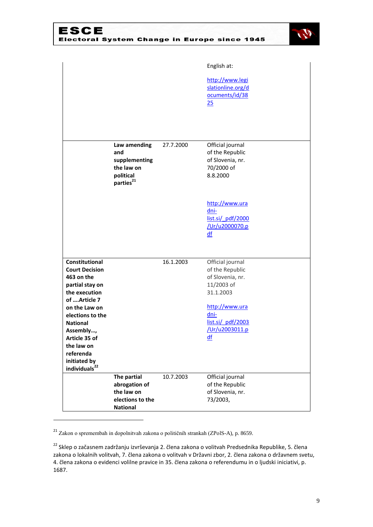

|                                                                                                                                                                                                                |                                                                                          |           | English at:<br>http://www.legi<br>slationline.org/d<br>ocuments/id/38<br>25                                                                               |
|----------------------------------------------------------------------------------------------------------------------------------------------------------------------------------------------------------------|------------------------------------------------------------------------------------------|-----------|-----------------------------------------------------------------------------------------------------------------------------------------------------------|
|                                                                                                                                                                                                                |                                                                                          |           |                                                                                                                                                           |
|                                                                                                                                                                                                                | Law amending<br>and<br>supplementing<br>the law on<br>political<br>parties <sup>21</sup> | 27.7.2000 | Official journal<br>of the Republic<br>of Slovenia, nr.<br>70/2000 of<br>8.8.2000                                                                         |
|                                                                                                                                                                                                                |                                                                                          |           | http://www.ura<br>dni-<br>list.si/ pdf/2000<br>/Ur/u2000070.p<br>df                                                                                       |
| Constitutional<br><b>Court Decision</b><br>463 on the<br>partial stay on<br>the execution<br>of  Article 7<br>on the Law on<br>elections to the<br><b>National</b><br>Assembly,<br>Article 35 of<br>the law on |                                                                                          | 16.1.2003 | Official journal<br>of the Republic<br>of Slovenia, nr.<br>11/2003 of<br>31.1.2003<br>http://www.ura<br>dni-<br>list.si/ pdf/2003<br>/Ur/u2003011.p<br>df |
| referenda<br>initiated by<br>individuals <sup>22</sup>                                                                                                                                                         |                                                                                          |           |                                                                                                                                                           |
|                                                                                                                                                                                                                | The partial<br>abrogation of<br>the law on<br>elections to the<br><b>National</b>        | 10.7.2003 | Official journal<br>of the Republic<br>of Slovenia, nr.<br>73/2003,                                                                                       |

<sup>21</sup> Zakon o spremembah in dopolnitvah zakona o političnih strankah (ZPolS-A), p. 8659.

<sup>&</sup>lt;sup>22</sup> Sklep o začasnem zadržanju izvrševanja 2. člena zakona o volitvah Predsednika Republike, 5. člena zakona o lokalnih volitvah, 7. člena zakona o volitvah v Državni zbor, 2. člena zakona o državnem svetu, 4. člena zakona o evidenci volilne pravice in 35. člena zakona o referendumu in o ljudski iniciativi, p. 1687.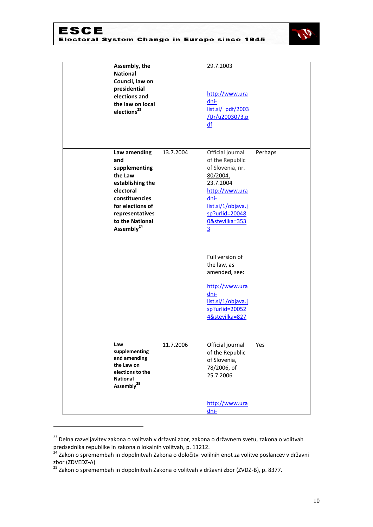

| Assembly, the<br><b>National</b><br>Council, law on<br>presidential<br>elections and<br>the law on local<br>elections <sup>23</sup>                                                    |           | 29.7.2003<br>http://www.ura<br>dni-<br>list.si/ pdf/2003<br>/Ur/u2003073.p<br>df                                                                                                           |         |
|----------------------------------------------------------------------------------------------------------------------------------------------------------------------------------------|-----------|--------------------------------------------------------------------------------------------------------------------------------------------------------------------------------------------|---------|
| Law amending<br>and<br>supplementing<br>the Law<br>establishing the<br>electoral<br>constituencies<br>for elections of<br>representatives<br>to the National<br>Assembly <sup>24</sup> | 13.7.2004 | Official journal<br>of the Republic<br>of Slovenia, nr.<br>80/2004,<br>23.7.2004<br>http://www.ura<br>dni-<br>list.si/1/objava.j<br>$sp?urlid = 20048$<br>0&stevilka=353<br>$\overline{3}$ | Perhaps |
|                                                                                                                                                                                        |           | Full version of<br>the law, as<br>amended, see:<br>http://www.ura<br>dni-<br>list.si/1/objava.j<br>sp?urlid=20052<br>4&stevilka=827                                                        |         |
| Law<br>supplementing<br>and amending<br>the Law on<br>elections to the<br><b>National</b><br>Assembly <sup>25</sup>                                                                    | 11.7.2006 | Official journal<br>of the Republic<br>of Slovenia,<br>78/2006, of<br>25.7.2006<br>http://www.ura<br><u>dni-</u>                                                                           | Yes     |

<sup>&</sup>lt;sup>23</sup> Delna razveljavitev zakona o volitvah v državni zbor, zakona o državnem svetu, zakona o volitvah predsednika republike in zakona o lokalnih volitvah, p. 11212.

<sup>&</sup>lt;sup>24</sup> Zakon o spremembah in dopolnitvah Zakona o določitvi volilnih enot za volitve poslancev v državni zbor (ZDVEDZ-A)

<sup>&</sup>lt;sup>25</sup> Zakon o spremembah in dopolnitvah Zakona o volitvah v državni zbor (ZVDZ-B), p. 8377.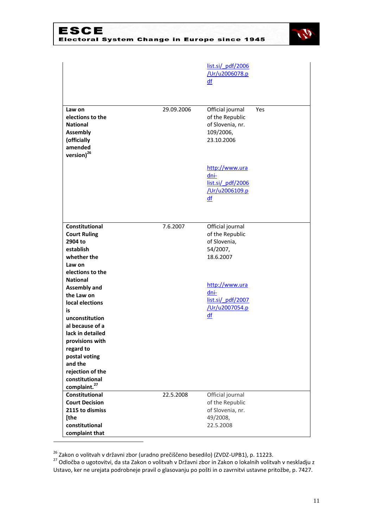

|                                                                                                                      |            | list.si/ pdf/2006<br>/Ur/u2006078.p<br>df                                          |     |
|----------------------------------------------------------------------------------------------------------------------|------------|------------------------------------------------------------------------------------|-----|
| Law on<br>elections to the<br><b>National</b><br><b>Assembly</b><br>(officially<br>amended<br>version) <sup>26</sup> | 29.09.2006 | Official journal<br>of the Republic<br>of Slovenia, nr.<br>109/2006,<br>23.10.2006 | Yes |
|                                                                                                                      |            | http://www.ura<br>dni-<br>list.si/ pdf/2006<br>/Ur/u2006109.p<br>df                |     |
| Constitutional<br><b>Court Ruling</b><br>2904 to<br>establish<br>whether the<br>Law on<br>elections to the           | 7.6.2007   | Official journal<br>of the Republic<br>of Slovenia,<br>54/2007,<br>18.6.2007       |     |
| <b>National</b><br><b>Assembly and</b><br>the Law on<br>local elections<br>is<br>unconstitution                      |            | http://www.ura<br>dni-<br>list.si/ pdf/2007<br>/Ur/u2007054.p<br>df                |     |
| al because of a<br>lack in detailed<br>provisions with<br>regard to<br>postal voting<br>and the<br>rejection of the  |            |                                                                                    |     |
| constitutional<br>complaint. <sup>27</sup><br>Constitutional<br><b>Court Decision</b><br>2115 to dismiss             | 22.5.2008  | Official journal<br>of the Republic<br>of Slovenia, nr.                            |     |
| [the<br>constitutional<br>complaint that                                                                             |            | 49/2008,<br>22.5.2008                                                              |     |

<sup>&</sup>lt;sup>26</sup> Zakon o volitvah v državni zbor (uradno prečiščeno besedilo) (ZVDZ-UPB1), p. 11223.

<sup>&</sup>lt;sup>27</sup> Odločba o ugotovitvi, da sta Zakon o volitvah v Državni zbor in Zakon o lokalnih volitvah v neskladju z Ustavo, ker ne urejata podrobneje pravil o glasovanju po pošti in o zavrnitvi ustavne pritožbe, p. 7427.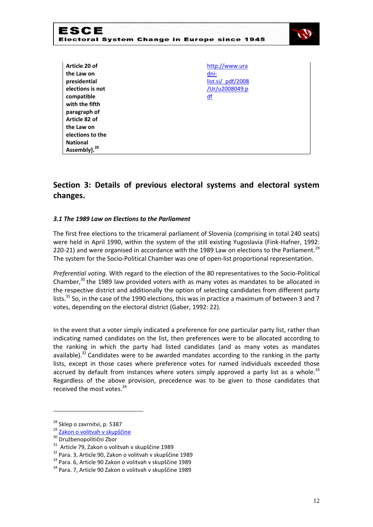

| Article 20 of    | http://www.ura      |
|------------------|---------------------|
| the Law on       | dni-                |
| presidential     | list.isi / pdf/2008 |
| elections is not | /Ur/u2008049.p      |
| compatible       | df                  |
| with the fifth   |                     |
| paragraph of     |                     |
| Article 82 of    |                     |
| the Law on       |                     |
| elections to the |                     |
| <b>National</b>  |                     |
| 28<br>Assembly]. |                     |
|                  |                     |

# **Section 3: Details of previous electoral systems and electoral system changes.**

### *3.1 The 1989 Law on Elections to the Parliament*

The first free elections to the tricameral parliament of Slovenia (comprising in total 240 seats) were held in April 1990, within the system of the still existing Yugoslavia (Fink-Hafner, 1992: 220-21) and were organised in accordance with the 1989 Law on elections to the Parliament.<sup>29</sup> The system for the Socio-Political Chamber was one of open-list proportional representation.

*Preferential voting.* With regard to the election of the 80 representatives to the Socio-Political Chamber, $30$  the 1989 law provided voters with as many votes as mandates to be allocated in the respective district and additionally the option of selecting candidates from different party lists.<sup>31</sup> So, in the case of the 1990 elections, this was in practice a maximum of between 3 and 7 votes, depending on the electoral district (Gaber, 1992: 22).

In the event that a voter simply indicated a preference for one particular party list, rather than indicating named candidates on the list, then preferences were to be allocated according to the ranking in which the party had listed candidates (and as many votes as mandates available). $32$  Candidates were to be awarded mandates according to the ranking in the party lists, except in those cases where preference votes for named individuals exceeded those accrued by default from instances where voters simply approved a party list as a whole.<sup>33</sup> Regardless of the above provision, precedence was to be given to those candidates that received the most votes.<sup>34</sup>

 $28$  Sklep o zavrnitvi, p. 5387

<sup>&</sup>lt;sup>29</sup> [Zakon o volitvah v skupščine](http://zakonodaja.gov.si/rpsi/r09/predpis_ZAKO2989.html)

<sup>30</sup> Družbenopolitični Zbor

<sup>&</sup>lt;sup>31</sup> Article 79, Zakon o volitvah v skupščine 1989

<sup>32</sup> Para. 3, Article 90, Zakon o volitvah v skupščine 1989

<sup>33</sup> Para. 6, Article 90 Zakon o volitvah v skupščine 1989

<sup>34</sup> Para. 7, Article 90 Zakon o volitvah v skupščine 1989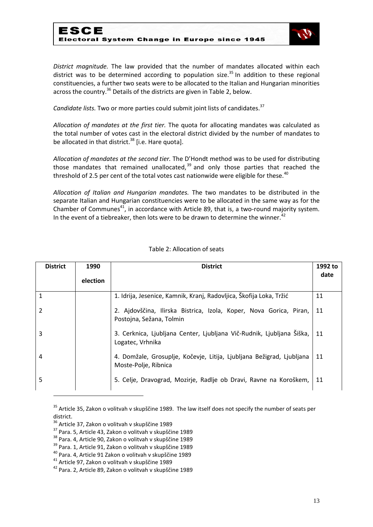

*District magnitude.* The law provided that the number of mandates allocated within each district was to be determined according to population size.<sup>35</sup> In addition to these regional constituencies, a further two seats were to be allocated to the Italian and Hungarian minorities across the country.<sup>36</sup> Details of the districts are given in Table 2, below.

Candidate lists. Two or more parties could submit joint lists of candidates.<sup>37</sup>

*Allocation of mandates at the first tier.* The quota for allocating mandates was calculated as the total number of votes cast in the electoral district divided by the number of mandates to be allocated in that district.<sup>38</sup> [i.e. Hare quota].

*Allocation of mandates at the second tier.* The D'Hondt method was to be used for distributing those mandates that remained unallocated,  $39$  and only those parties that reached the threshold of 2.5 per cent of the total votes cast nationwide were eligible for these.<sup>40</sup>

*Allocation of Italian and Hungarian mandates.* The two mandates to be distributed in the separate Italian and Hungarian constituencies were to be allocated in the same way as for the Chamber of Communes<sup>41</sup>, in accordance with Article 89, that is, a two-round majority system. In the event of a tiebreaker, then lots were to be drawn to determine the winner.<sup>42</sup>

| <b>District</b> | 1990<br>election | <b>District</b>                                                                                | 1992 to<br>date |
|-----------------|------------------|------------------------------------------------------------------------------------------------|-----------------|
| $\mathbf{1}$    |                  | 1. Idrija, Jesenice, Kamnik, Kranj, Radovljica, Škofija Loka, Tržić                            | 11              |
| 2               |                  | 2. Ajdovščina, Ilirska Bistrica, Izola, Koper, Nova Gorica, Piran,<br>Postojna, Sežana, Tolmin | 11              |
| 3               |                  | 3. Cerknica, Ljubljana Center, Ljubljana Vič-Rudnik, Ljubljana Šiška,<br>Logatec, Vrhnika      | 11              |
| 4               |                  | 4. Domžale, Grosuplje, Kočevje, Litija, Ljubljana Bežigrad, Ljubljana<br>Moste-Polje, Ribnica  | 11              |
| 5               |                  | 5. Celje, Dravograd, Mozirje, Radlje ob Dravi, Ravne na Koroškem,                              | 11              |

### Table 2: Allocation of seats

1

<sup>&</sup>lt;sup>35</sup> Article 35, Zakon o volitvah v skupščine 1989. The law itself does not specify the number of seats per district.

<sup>&</sup>lt;sup>36</sup> Article 37, Zakon o volitvah v skupščine 1989

<sup>37</sup> Para. 5, Article 43, Zakon o volitvah v skupščine 1989

<sup>38</sup> Para. 4, Article 90, Zakon o volitvah v skupščine 1989

<sup>39</sup> Para. 1, Article 91, Zakon o volitvah v skupščine 1989

<sup>40</sup> Para. 4, Article 91 Zakon o volitvah v skupščine 1989

<sup>41</sup> Article 97, Zakon o volitvah v skupščine 1989

<sup>42</sup> Para. 2, Article 89, Zakon o volitvah v skupščine 1989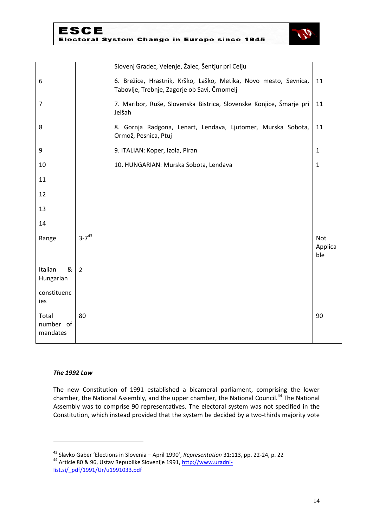|                                |                | Slovenj Gradec, Velenje, Žalec, Šentjur pri Celju                                                                |                              |
|--------------------------------|----------------|------------------------------------------------------------------------------------------------------------------|------------------------------|
| 6                              |                | 6. Brežice, Hrastnik, Krško, Laško, Metika, Novo mesto, Sevnica,<br>Tabovlje, Trebnje, Zagorje ob Savi, Črnomelj | 11                           |
| $\overline{7}$                 |                | 7. Maribor, Ruše, Slovenska Bistrica, Slovenske Konjice, Šmarje pri<br>Jelšah                                    | 11                           |
| 8                              |                | 8. Gornja Radgona, Lenart, Lendava, Ljutomer, Murska Sobota,<br>Ormož, Pesnica, Ptuj                             | 11                           |
| 9                              |                | 9. ITALIAN: Koper, Izola, Piran                                                                                  | $\mathbf{1}$                 |
| 10                             |                | 10. HUNGARIAN: Murska Sobota, Lendava                                                                            | $\mathbf 1$                  |
| 11                             |                |                                                                                                                  |                              |
| 12                             |                |                                                                                                                  |                              |
| 13                             |                |                                                                                                                  |                              |
| 14                             |                |                                                                                                                  |                              |
| Range                          | $3 - 7^{43}$   |                                                                                                                  | <b>Not</b><br>Applica<br>ble |
| Italian<br>&<br>Hungarian      | $\overline{2}$ |                                                                                                                  |                              |
| constituenc<br>ies             |                |                                                                                                                  |                              |
| Total<br>number of<br>mandates | 80             |                                                                                                                  | 90                           |

#### *The 1992 Law*

-

The new Constitution of 1991 established a bicameral parliament, comprising the lower chamber, the National Assembly, and the upper chamber, the National Council.<sup>44</sup> The National Assembly was to comprise 90 representatives. The electoral system was not specified in the Constitution, which instead provided that the system be decided by a two-thirds majority vote

<sup>43</sup> Slavko Gaber 'Elections in Slovenia – April 1990', *Representation* 31:113, pp. 22-24, p. 22 <sup>44</sup> Article 80 & 96, Ustav Republike Slovenije 1991[, http://www.uradni-](http://www.uradni-list.si/_pdf/1991/Ur/u1991033.pdf)

[list.si/\\_pdf/1991/Ur/u1991033.pdf](http://www.uradni-list.si/_pdf/1991/Ur/u1991033.pdf)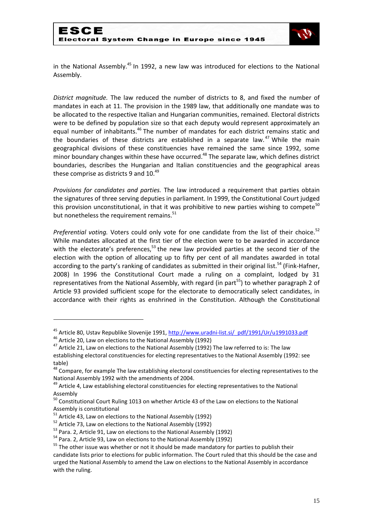

in the National Assembly.<sup>45</sup> In 1992, a new law was introduced for elections to the National Assembly.

*District magnitude.* The law reduced the number of districts to 8, and fixed the number of mandates in each at 11. The provision in the 1989 law, that additionally one mandate was to be allocated to the respective Italian and Hungarian communities, remained. Electoral districts were to be defined by population size so that each deputy would represent approximately an equal number of inhabitants.<sup>46</sup> The number of mandates for each district remains static and the boundaries of these districts are established in a separate law. $47$  While the main geographical divisions of these constituencies have remained the same since 1992, some minor boundary changes within these have occurred.<sup>48</sup> The separate law, which defines district boundaries, describes the Hungarian and Italian constituencies and the geographical areas these comprise as districts 9 and  $10.^{49}$ 

*Provisions for candidates and parties.* The law introduced a requirement that parties obtain the signatures of three serving deputies in parliament. In 1999, the Constitutional Court judged this provision unconstitutional, in that it was prohibitive to new parties wishing to compete<sup>50</sup> but nonetheless the requirement remains.<sup>51</sup>

Preferential voting. Voters could only vote for one candidate from the list of their choice.<sup>52</sup> While mandates allocated at the first tier of the election were to be awarded in accordance with the electorate's preferences, $53$  the new law provided parties at the second tier of the election with the option of allocating up to fifty per cent of all mandates awarded in total according to the party's ranking of candidates as submitted in their original list.<sup>54</sup> (Fink-Hafner, 2008) In 1996 the Constitutional Court made a ruling on a complaint, lodged by 31 representatives from the National Assembly, with regard (in part<sup>55</sup>) to whether paragraph 2 of Article 93 provided sufficient scope for the electorate to democratically select candidates, in accordance with their rights as enshrined in the Constitution. Although the Constitutional

<sup>&</sup>lt;sup>45</sup> Article 80, Ustav Republike Slovenije 1991, [http://www.uradni-list.si/\\_pdf/1991/Ur/u1991033.pdf](http://www.uradni-list.si/_pdf/1991/Ur/u1991033.pdf)

<sup>&</sup>lt;sup>46</sup> Article 20, Law on elections to the National Assembly (1992)

<sup>&</sup>lt;sup>47</sup> Article 21, Law on elections to the National Assembly (1992) The law referred to is: The law establishing electoral constituencies for electing representatives to the National Assembly (1992: see table)

<sup>&</sup>lt;sup>48</sup> Compare, for example The law establishing electoral constituencies for electing representatives to the National Assembly 1992 with the amendments of 2004.

<sup>&</sup>lt;sup>49</sup> Article 4, Law establishing electoral constituencies for electing representatives to the National Assembly

<sup>&</sup>lt;sup>50</sup> Constitutional Court Ruling 1013 on whether Article 43 of the Law on elections to the National Assembly is constitutional

 $51$  Article 43, Law on elections to the National Assembly (1992)

 $52$  Article 73, Law on elections to the National Assembly (1992)

<sup>&</sup>lt;sup>53</sup> Para. 2, Article 91, Law on elections to the National Assembly (1992)

<sup>54</sup> Para. 2, Article 93, Law on elections to the National Assembly (1992)

 $55$  The other issue was whether or not it should be made mandatory for parties to publish their candidate lists prior to elections for public information. The Court ruled that this should be the case and urged the National Assembly to amend the Law on elections to the National Assembly in accordance with the ruling.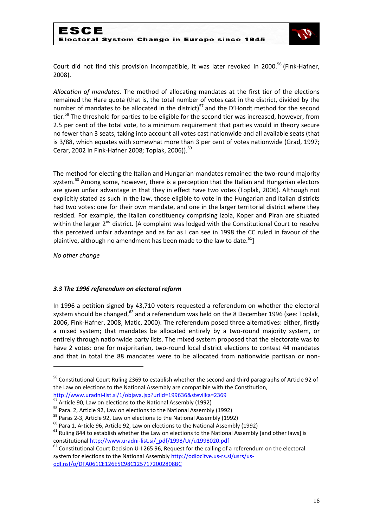

Court did not find this provision incompatible, it was later revoked in 2000.<sup>56</sup> (Fink-Hafner, 2008).

*Allocation of mandates.* The method of allocating mandates at the first tier of the elections remained the Hare quota (that is, the total number of votes cast in the district, divided by the number of mandates to be allocated in the district)<sup>57</sup> and the D'Hondt method for the second tier.<sup>58</sup> The threshold for parties to be eligible for the second tier was increased, however, from 2.5 per cent of the total vote, to a minimum requirement that parties would in theory secure no fewer than 3 seats, taking into account all votes cast nationwide and all available seats (that is 3/88, which equates with somewhat more than 3 per cent of votes nationwide (Grad, 1997; Cerar, 2002 in Fink-Hafner 2008; Toplak, 2006)).<sup>59</sup>

The method for electing the Italian and Hungarian mandates remained the two-round majority system.<sup>60</sup> Among some, however, there is a perception that the Italian and Hungarian electors are given unfair advantage in that they in effect have two votes (Toplak, 2006). Although not explicitly stated as such in the law, those eligible to vote in the Hungarian and Italian districts had two votes: one for their own mandate, and one in the larger territorial district where they resided. For example, the Italian constituency comprising Izola, Koper and Piran are situated within the larger 2<sup>nd</sup> district. [A complaint was lodged with the Constitutional Court to resolve this perceived unfair advantage and as far as I can see in 1998 the CC ruled in favour of the plaintive, although no amendment has been made to the law to date. $61$ ]

*No other change*

1

## *3.3 The 1996 referendum on electoral reform*

In 1996 a petition signed by 43,710 voters requested a referendum on whether the electoral system should be changed,  $62$  and a referendum was held on the 8 December 1996 (see: Toplak, 2006, Fink-Hafner, 2008, Matic, 2000). The referendum posed three alternatives: either, firstly a mixed system; that mandates be allocated entirely by a two-round majority system, or entirely through nationwide party lists. The mixed system proposed that the electorate was to have 2 votes: one for majoritarian, two-round local district elections to contest 44 mandates and that in total the 88 mandates were to be allocated from nationwide partisan or non-

<sup>56</sup> Constitutional Court Ruling 2369 to establish whether the second and third paragraphs of Article 92 of the Law on elections to the National Assembly are compatible with the Constitution,

<http://www.uradni-list.si/1/objava.jsp?urlid=199636&stevilka=2369>

 $\frac{57}{1}$  Article 90, Law on elections to the National Assembly (1992)

<sup>&</sup>lt;sup>58</sup> Para. 2, Article 92, Law on elections to the National Assembly (1992)

<sup>&</sup>lt;sup>59</sup> Paras 2-3, Article 92, Law on elections to the National Assembly (1992)

 $^{60}$  Para 1, Article 96, Article 92, Law on elections to the National Assembly (1992)

 $61$  Ruling 844 to establish whether the Law on elections to the National Assembly [and other laws] is constitutional [http://www.uradni-list.si/\\_pdf/1998/Ur/u1998020.pdf](http://www.uradni-list.si/_pdf/1998/Ur/u1998020.pdf)

 $62$  Constitutional Court Decision U-I 265 96, Request for the calling of a referendum on the electoral system for elections to the National Assembly [http://odlocitve.us-rs.si/usrs/us](http://odlocitve.us-rs.si/usrs/us-odl.nsf/o/DFA061CE126E5C98C1257172002808BC)[odl.nsf/o/DFA061CE126E5C98C1257172002808BC](http://odlocitve.us-rs.si/usrs/us-odl.nsf/o/DFA061CE126E5C98C1257172002808BC)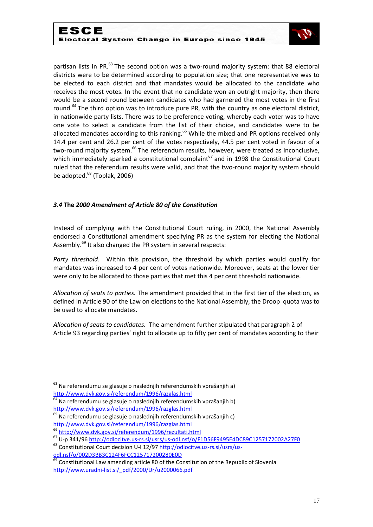

partisan lists in PR.<sup>63</sup> The second option was a two-round majority system: that 88 electoral districts were to be determined according to population size; that one representative was to be elected to each district and that mandates would be allocated to the candidate who receives the most votes. In the event that no candidate won an outright majority, then there would be a second round between candidates who had garnered the most votes in the first round.<sup>64</sup> The third option was to introduce pure PR, with the country as one electoral district, in nationwide party lists. There was to be preference voting, whereby each voter was to have one vote to select a candidate from the list of their choice, and candidates were to be allocated mandates according to this ranking. $65$  While the mixed and PR options received only 14.4 per cent and 26.2 per cent of the votes respectively, 44.5 per cent voted in favour of a two-round majority system.<sup>66</sup> The referendum results, however, were treated as inconclusive, which immediately sparked a constitutional complaint $^{67}$  and in 1998 the Constitutional Court ruled that the referendum results were valid, and that the two-round majority system should be adopted.<sup>68</sup> (Toplak, 2006)

## *3.4* **The** *2000 Amendment of Article 80 of the Constitution*

Instead of complying with the Constitutional Court ruling, in 2000, the National Assembly endorsed a Constitutional amendment specifying PR as the system for electing the National Assembly.<sup>69</sup> It also changed the PR system in several respects:

*Party threshold*. Within this provision, the threshold by which parties would qualify for mandates was increased to 4 per cent of votes nationwide. Moreover, seats at the lower tier were only to be allocated to those parties that met this 4 per cent threshold nationwide.

*Allocation of seats to parties.* The amendment provided that in the first tier of the election, as defined in Article 90 of the Law on elections to the National Assembly, the Droop quota was to be used to allocate mandates.

*Allocation of seats to candidates.* The amendment further stipulated that paragraph 2 of Article 93 regarding parties' right to allocate up to fifty per cent of mandates according to their

<sup>&</sup>lt;sup>63</sup> Na referendumu se glasuje o naslednjih referendumskih vprašanjih a) <http://www.dvk.gov.si/referendum/1996/razglas.html>

<sup>&</sup>lt;sup>64</sup> Na referendumu se glasuje o naslednjih referendumskih vprašanjih b) <http://www.dvk.gov.si/referendum/1996/razglas.html>

 $65$  Na referendumu se glasuje o naslednjih referendumskih vprašanjih c) <http://www.dvk.gov.si/referendum/1996/razglas.html>

<sup>66</sup> <http://www.dvk.gov.si/referendum/1996/rezultati.html>

<sup>67</sup> U-p 341/96<http://odlocitve.us-rs.si/usrs/us-odl.nsf/o/F1D56F9495E4DC89C1257172002A27F0>

<sup>&</sup>lt;sup>68</sup> Constitutional Court decision U-I 12/97 [http://odlocitve.us-rs.si/usrs/us](http://odlocitve.us-rs.si/usrs/us-odl.nsf/o/002D3BB3C124F6FCC125717200280E0D)[odl.nsf/o/002D3BB3C124F6FCC125717200280E0D](http://odlocitve.us-rs.si/usrs/us-odl.nsf/o/002D3BB3C124F6FCC125717200280E0D)

 $69$  Constitutional Law amending article 80 of the Constitution of the Republic of Slovenia [http://www.uradni-list.si/\\_pdf/2000/Ur/u2000066.pdf](http://www.uradni-list.si/_pdf/2000/Ur/u2000066.pdf)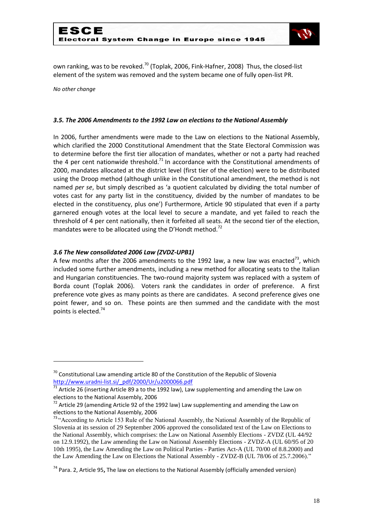

own ranking, was to be revoked.<sup>70</sup> (Toplak, 2006, Fink-Hafner, 2008) Thus, the closed-list element of the system was removed and the system became one of fully open-list PR.

*No other change*

-

#### *3.5. The 2006 Amendments to the 1992 Law on elections to the National Assembly*

In 2006, further amendments were made to the Law on elections to the National Assembly, which clarified the 2000 Constitutional Amendment that the State Electoral Commission was to determine before the first tier allocation of mandates, whether or not a party had reached the 4 per cent nationwide threshold.<sup>71</sup> In accordance with the Constitutional amendments of 2000, mandates allocated at the district level (first tier of the election) were to be distributed using the Droop method (although unlike in the Constitutional amendment, the method is not named *per se*, but simply described as 'a quotient calculated by dividing the total number of votes cast for any party list in the constituency, divided by the number of mandates to be elected in the constituency, plus one') Furthermore, Article 90 stipulated that even if a party garnered enough votes at the local level to secure a mandate, and yet failed to reach the threshold of 4 per cent nationally, then it forfeited all seats. At the second tier of the election, mandates were to be allocated using the D'Hondt method.<sup>72</sup>

#### *3.6 The New consolidated 2006 Law (ZVDZ-UPB1)*

A few months after the 2006 amendments to the 1992 law, a new law was enacted<sup>73</sup>, which included some further amendments, including a new method for allocating seats to the Italian and Hungarian constituencies. The two-round majority system was replaced with a system of Borda count (Toplak 2006). Voters rank the candidates in order of preference. A first preference vote gives as many points as there are candidates. A second preference gives one point fewer, and so on. These points are then summed and the candidate with the most points is elected.<sup>74</sup>

 $70$  Constitutional Law amending article 80 of the Constitution of the Republic of Slovenia [http://www.uradni-list.si/\\_pdf/2000/Ur/u2000066.pdf](http://www.uradni-list.si/_pdf/2000/Ur/u2000066.pdf)

 $\frac{1}{71}$  Article 26 (inserting Article 89 a to the 1992 law), Law supplementing and amending the Law on elections to the National Assembly, 2006

 $^{72}$  Article 29 (amending Article 92 of the 1992 law) Law supplementing and amending the Law on elections to the National Assembly, 2006

<sup>&</sup>lt;sup>73</sup> "According to Article 153 Rule of the National Assembly, the National Assembly of the Republic of Slovenia at its session of 29 September 2006 approved the consolidated text of the Law on Elections to the National Assembly, which comprises: the Law on National Assembly Elections - ZVDZ (UL 44/92 on 12.9.1992), the Law amending the Law on National Assembly Elections - ZVDZ-A (UL 60/95 of 20 10th 1995), the Law Amending the Law on Political Parties - Parties Act-A (UL 70/00 of 8.8.2000) and the Law Amending the Law on Elections the National Assembly - ZVDZ-B (UL 78/06 of 25.7.2006)."

<sup>74</sup> Para. 2, Article 95**,** The law on elections to the National Assembly (officially amended version)